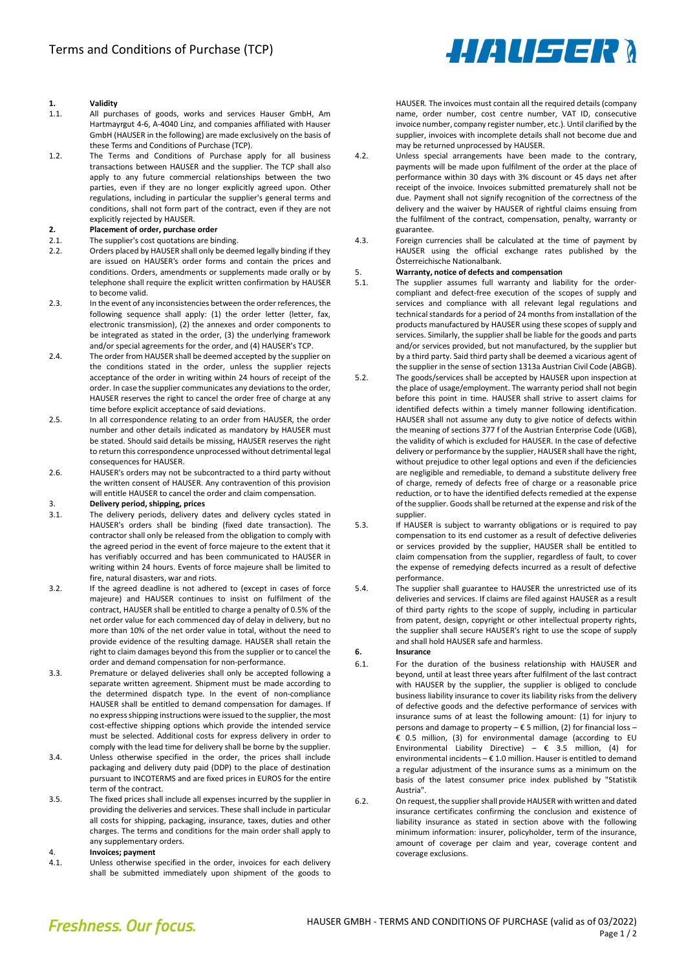# 1. Validity<br>11 All pure

- All purchases of goods, works and services Hauser GmbH, Am Hartmayrgut 4-6, A-4040 Linz, and companies affiliated with Hauser GmbH (HAUSER in the following) are made exclusively on the basis of these Terms and Conditions of Purchase (TCP).
- 1.2. The Terms and Conditions of Purchase apply for all business transactions between HAUSER and the supplier. The TCP shall also apply to any future commercial relationships between the two parties, even if they are no longer explicitly agreed upon. Other regulations, including in particular the supplier's general terms and conditions, shall not form part of the contract, even if they are not explicitly rejected by HAUSER.

#### 2. Placement of order, purchase order

- 2.1. The supplier's cost quotations are binding.
- 2.2. Orders placed by HAUSER shall only be deemed legally binding if they are issued on HAUSER's order forms and contain the prices and conditions. Orders, amendments or supplements made orally or by telephone shall require the explicit written confirmation by HAUSER to become valid.
- 2.3. In the event of any inconsistencies between the order references, the following sequence shall apply: (1) the order letter (letter, fax, electronic transmission), (2) the annexes and order components to be integrated as stated in the order, (3) the underlying framework and/or special agreements for the order, and (4) HAUSER's TCP.
- 2.4. The order from HAUSER shall be deemed accepted by the supplier on the conditions stated in the order, unless the supplier rejects acceptance of the order in writing within 24 hours of receipt of the order. In case the supplier communicates any deviations to the order, HAUSER reserves the right to cancel the order free of charge at any time before explicit acceptance of said deviations.
- 2.5. In all correspondence relating to an order from HAUSER, the order number and other details indicated as mandatory by HAUSER must be stated. Should said details be missing, HAUSER reserves the right to return this correspondence unprocessed without detrimental legal consequences for HAUSER.
- 2.6. HAUSER's orders may not be subcontracted to a third party without the written consent of HAUSER. Any contravention of this provision will entitle HAUSER to cancel the order and claim compensation.

# 3. **Delivery period, shipping, prices**<br>3.1 The delivery periods delivery c

- The delivery periods, delivery dates and delivery cycles stated in HAUSER's orders shall be binding (fixed date transaction). The contractor shall only be released from the obligation to comply with the agreed period in the event of force majeure to the extent that it has verifiably occurred and has been communicated to HAUSER in writing within 24 hours. Events of force majeure shall be limited to fire, natural disasters, war and riots.
- 3.2. If the agreed deadline is not adhered to (except in cases of force majeure) and HAUSER continues to insist on fulfilment of the contract, HAUSER shall be entitled to charge a penalty of 0.5% of the net order value for each commenced day of delay in delivery, but no more than 10% of the net order value in total, without the need to provide evidence of the resulting damage. HAUSER shall retain the right to claim damages beyond this from the supplier or to cancel the order and demand compensation for non-performance.
- 3.3. Premature or delayed deliveries shall only be accepted following a separate written agreement. Shipment must be made according to the determined dispatch type. In the event of non-compliance HAUSER shall be entitled to demand compensation for damages. If no express shipping instructions were issued to the supplier, the most cost-effective shipping options which provide the intended service must be selected. Additional costs for express delivery in order to comply with the lead time for delivery shall be borne by the supplier.
- 3.4. Unless otherwise specified in the order, the prices shall include packaging and delivery duty paid (DDP) to the place of destination pursuant to INCOTERMS and are fixed prices in EUROS for the entire term of the contract.
- 3.5. The fixed prices shall include all expenses incurred by the supplier in providing the deliveries and services. These shall include in particular all costs for shipping, packaging, insurance, taxes, duties and other charges. The terms and conditions for the main order shall apply to any supplementary orders.

# 4. **Invoices; payment**<br>4.1. Unless otherwise s

Unless otherwise specified in the order, invoices for each delivery shall be submitted immediately upon shipment of the goods to



HAUSER. The invoices must contain all the required details (company name, order number, cost centre number, VAT ID, consecutive invoice number, company register number, etc.). Until clarified by the supplier, invoices with incomplete details shall not become due and may be returned unprocessed by HAUSER.

- 4.2. Unless special arrangements have been made to the contrary, payments will be made upon fulfilment of the order at the place of performance within 30 days with 3% discount or 45 days net after receipt of the invoice. Invoices submitted prematurely shall not be due. Payment shall not signify recognition of the correctness of the delivery and the waiver by HAUSER of rightful claims ensuing from the fulfilment of the contract, compensation, penalty, warranty or guarantee.
- 4.3. Foreign currencies shall be calculated at the time of payment by HAUSER using the official exchange rates published by the Österreichische Nationalbank.

### 5. Warranty, notice of defects and compensation

- 5.1. The supplier assumes full warranty and liability for the ordercompliant and defect-free execution of the scopes of supply and services and compliance with all relevant legal regulations and technical standards for a period of 24 months from installation of the products manufactured by HAUSER using these scopes of supply and services. Similarly, the supplier shall be liable for the goods and parts and/or services provided, but not manufactured, by the supplier but by a third party. Said third party shall be deemed a vicarious agent of the supplier in the sense of section 1313a Austrian Civil Code (ABGB).
- 5.2. The goods/services shall be accepted by HAUSER upon inspection at the place of usage/employment. The warranty period shall not begin before this point in time. HAUSER shall strive to assert claims for identified defects within a timely manner following identification. HAUSER shall not assume any duty to give notice of defects within the meaning of sections 377 f of the Austrian Enterprise Code (UGB), the validity of which is excluded for HAUSER. In the case of defective delivery or performance by the supplier, HAUSER shall have the right, without prejudice to other legal options and even if the deficiencies are negligible and remediable, to demand a substitute delivery free of charge, remedy of defects free of charge or a reasonable price reduction, or to have the identified defects remedied at the expense of the supplier. Goods shall be returned at the expense and risk of the supplier.
- 5.3. If HAUSER is subject to warranty obligations or is required to pay compensation to its end customer as a result of defective deliveries or services provided by the supplier, HAUSER shall be entitled to claim compensation from the supplier, regardless of fault, to cover the expense of remedying defects incurred as a result of defective performance.
- 5.4. The supplier shall guarantee to HAUSER the unrestricted use of its deliveries and services. If claims are filed against HAUSER as a result of third party rights to the scope of supply, including in particular from patent, design, copyright or other intellectual property rights, the supplier shall secure HAUSER's right to use the scope of supply and shall hold HAUSER safe and harmless.

#### 6. Insurance

- 6.1. For the duration of the business relationship with HAUSER and beyond, until at least three years after fulfilment of the last contract with HAUSER by the supplier, the supplier is obliged to conclude business liability insurance to cover its liability risks from the delivery of defective goods and the defective performance of services with insurance sums of at least the following amount: (1) for injury to persons and damage to property –  $\epsilon$  5 million, (2) for financial loss – € 0.5 million, (3) for environmental damage (according to EU Environmental Liability Directive) –  $\epsilon$  3.5 million, (4) for environmental incidents  $-\epsilon$  1.0 million. Hauser is entitled to demand a regular adjustment of the insurance sums as a minimum on the basis of the latest consumer price index published by "Statistik Austria".
- 6.2. On request, the supplier shall provide HAUSER with written and dated insurance certificates confirming the conclusion and existence of liability insurance as stated in section above with the following minimum information: insurer, policyholder, term of the insurance, amount of coverage per claim and year, coverage content and coverage exclusions.

# **Freshness, Our focus,**